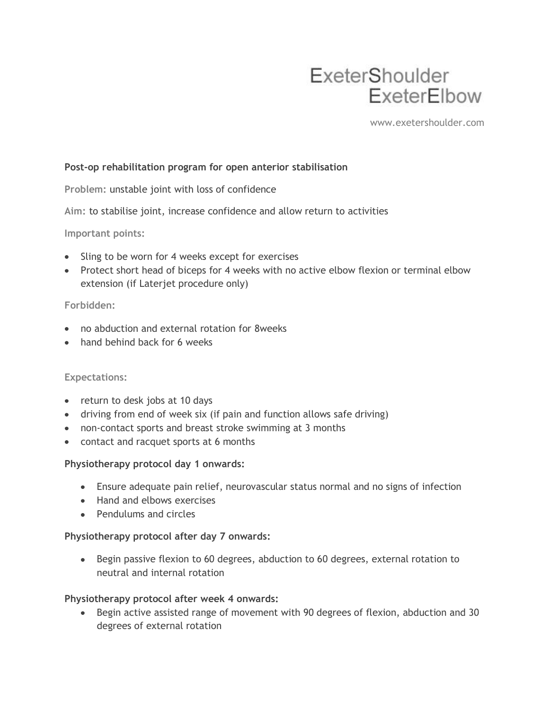# ExeterShoulder ExeterElbow

www.exetershoulder.com

## **Post-op rehabilitation program for open anterior stabilisation**

**Problem:** unstable joint with loss of confidence

**Aim:** to stabilise joint, increase confidence and allow return to activities

**Important points:**

- Sling to be worn for 4 weeks except for exercises
- Protect short head of biceps for 4 weeks with no active elbow flexion or terminal elbow extension (if Laterjet procedure only)

## **Forbidden:**

- no abduction and external rotation for 8weeks
- hand behind back for 6 weeks

#### **Expectations:**

- return to desk jobs at 10 days
- driving from end of week six (if pain and function allows safe driving)
- non-contact sports and breast stroke swimming at 3 months
- contact and racquet sports at 6 months

#### **Physiotherapy protocol day 1 onwards:**

- Ensure adequate pain relief, neurovascular status normal and no signs of infection
- Hand and elbows exercises
- Pendulums and circles

#### **Physiotherapy protocol after day 7 onwards:**

Begin passive flexion to 60 degrees, abduction to 60 degrees, external rotation to neutral and internal rotation

#### **Physiotherapy protocol after week 4 onwards:**

Begin active assisted range of movement with 90 degrees of flexion, abduction and 30 degrees of external rotation